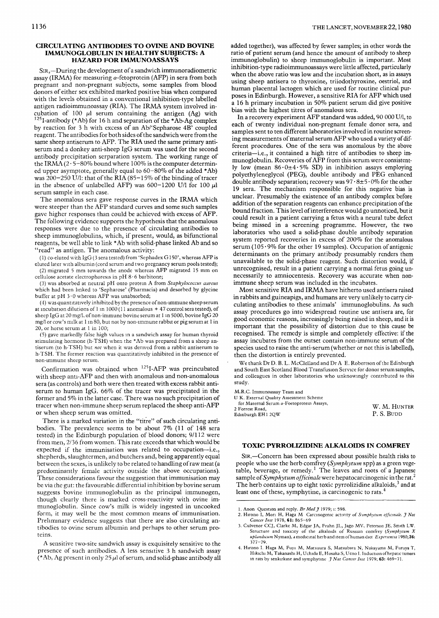## CIRCULATING ANTIBODIES TO OVINE AND BOVINE IMMUNOGLOBULIN IN HEALTHY SUBJECTS: A HAZARD FOR IMMUNOASSAYS

SIR,—During the development of a sandwich immunoradiometric assay (IRMA) for measuring  $\alpha$ -fetoprotein (AFP) in sera from both pregnant and non-pregnant subjects, some samples from blood pregnant and non-pregnant subjects, some samples from blood donors of either sex exhibited marked positive bias when compared with the levels obtained in a conventional inhibition-type labelled<br>ontion-redisimmunoecess (DIA). The IDMA erators involved in antigen radioimmunoassay (KIA). The IRMA system involved in<br>cubation of  $100 \mu$ , serum, containing, the entirem  $(4a)$  with cubation of 100  $\mu$ l serum containing the antigen (Ag) with  $^{125}$ I-antibody (\*Ab) for 16 h and separation of the \*Ab-Ag complex by reaction for 3 h with excess of an Ab/'Sepharose 4B' coupled reagent. The antibodies for both sides of the sandwich were from the same sheep antiserum to AFP. The RIA used the same primary antiserum and a donkey anti-sheep IgG serum was used for the second antibody precipitation serparation system. The working range of the IRMA  $(2.5-80\%$  bound where 100% is the computer determined upper asymptote, generally equal to  $60-80\%$  of the added \*Ab) was 200-250 U/l: that of the RIA (85-15% of the binding of tracer<br>in the absence of unlabelled AFP) was 600-1200 U/l for 100  $\mu$ l serum sample in each case.

The anomalous sera gave response curves in the IRMA which were steeper than the AFP standard curves and some such samples gave higher responses than could be achieved with excess of AFP. The following evidence supports the hypothesis that the anomalous responses were due to the presence of circulating antibodies to sheep immunoglobulins, which, if present, would, as bifunctional reagents, be well able to link \*Ab with solid-phase linked Ab and so "read" as antigen. The anomalous activity:

(1) co-eluted with IgG (3 sera tested) from 'Sephadex G150', whereas AFP is eluted later with albumin (cord serum and two pregnancy serum pools tested); (2) migrated 5 mm towards the anode whereas AFP migrated 15 mm on cellulose acetate electrophoresis in  $pH_8$  6 barbitone:

(3) was absorbed at neutral pH onto protein A from Staphylococcus aureus which had been linked to 'Sepharose' (Pharmacia) and desorbed by glycine buffer at pH  $3.0$  whereas AFP was unabsorbed;

(4) was quantitatively inhibited by the presence of non-immune sheep serum at incubation dilutions of 1 in  $1000(11$  anomalous + 47 control sera tested), of sheep IgG at 20 mg/l, of non-immune bovine serum at 1 in 5000, bovine IgG 20 mg/l or cow's milk at 1 in 80, but not by non-immune rabbit or pig serum at 1 in  $20$ , or horse serum at 1 in  $100$ :

(5) gave markedly false high values in a sandwich assay for human thyroid stimulating hormone (h-TSH) when the \*Ab was prepared from a sheep antiserum (to h-TSH) but not when it was derived from a rabbit antiserum to h-TSH. The former reaction was quantitatively inhibited in the presence of non-immune sheep serum.

Confirmation was obtained when <sup>125</sup>I-AFP was preincubated with sheep anti-AFP and then with anomalous and non-anomalous sera (as controls) and both were then treated with excess rabbit antiserum to human IgG. 66% of the tracer was precipitated in the former and  $5\%$  in the latter case. There was no such precipitation of tracer when non-immune sheep serum replaced the sheep anti-AFP or when sheep serum was omitted.

There is a marked variation in the "titre" of such circulating antibodies. The prevalence seems to be about  $7\%$  (11 of 148 sera tested) in the Edinburgh population of blood donors; 9/112 were from men, 2/36 from women. This rate exceeds that which would be expected if the immunisation was related to occupation--i.e., shepherds, slaughtermen, and butchers and, being apparently equal between the sexes, is unlikely to be related to handling of raw meat (a predominantly female activity outside the above occupations). These considerations favour the suggestion that immunisation may be via the gut: the favourable differential inhibition by bovine serum suggests bovine immunoglobulin as the principal immunogen, though clearly there is marked cross-reactivity with ovine immunoglobulin. Since cow's milk is widely ingested in uncooked form, it may well be the most common means of immunisation. Preliminary evidence suggests that there are also circulating antibodies to ovine serum albumin and perhaps to other serum proteins. tems.

A sensitive two-site sandwich assay is exquisitely sensitive to the presence of such antibodies. A less sensitive 3 h sandwich assay (\*Ab, Ag present in only 25  $\mu$ l of serum, and solid-phase antibody all added together), was affected by fewer samples; in other words the ratio of patient serum (and hence the amount of antibody to sheep immunoglobulin) to sheep immunoglobulin is important. Most inhibition-type radioimmunoassays were little affected, particularly when the above ratio was low and the incubation short, as in assays using sheep antisera to thyroxine, triiodothyroxine, oestriol, and human placental lactogen which are used for routine clinical purhuman placental lactogen which are used for routine clinical pu poses in Edinburgh. However, a sensitive RIA for AFP which use<br>a 16 h primary incubation in 50% patient commodia give positive a 16 h primary incubation in 50% patient serum did give positive

In a recovery experiment AFP standard was added, 90 000 U/l, to each of twenty individual non-pregnant female donor sera, and samples sent to ten different laboratories involved in routine screening measurements of maternal serum AFP who used a variety of different procedures. One of the sera was anomalous by the above criteria-i.e., it contained a high titre of antibodies to sheep immunoglobulin. Recoveries of AFP from this serum were consistently low (mean  $86.0 \pm 4.5\%$  SD) in inhibition assays employing polyethyleneglycol (PEG), double antibody and PEG enhanced double antibody separation; recovery was  $97 \cdot 8 \pm 5 \cdot 0\%$  for the other 19 sera. The mechanism responsible for this negative bias is unclear. Presumably the existence of an antibody complex before addition of the separation reagents can enhance precipitation of the bound fraction. This level of interference would go unnoticed, but it could result in a patient carrying a fetus with a neural tube defect being missed in a screening programme. However, the two laboratories who used a solid-phase double antibody separation system reported recoveries in excess of 200% for the anomalous serum ( $105.9\%$  for the other 19 samples). Occupation of antigenic determinants on the primary antibody presumably renders them unavailable to the solid-phase reagent. Such distortion would, if unrecognised, result in a patient carrying a normal fetus going unnecessarily to amniocentesis. Recovery was accurate when nonimmune sheep serum was included in the incubates.

Most sensitive RIA and IRMA have hitherto used antisera raised in rabbits and guineapigs, and humans are very unlikely to carry circulating antibodies to these animals' immunoglobulins. As such assay procedures go into widespread routine use antisera are, for good economic reasons, increasingly being raised in sheep, and it is important that the possibility of distortion due to this cause be recognised. The remedy is simple and completely effective: if the assay incubates from the outset contain non-immune serum of the species used to raise the anti-serum (whether or not this is labelled), then the distortion is entirely prevented.

We thank Dr D. B. L. McClelland and Dr A E. Robertson of the Edinburgh and South East Scotland Blood Transfusion Service for donor serum samples, and colleagues in other laboratories who unknowingly contributed to this study. and colleagues in other laboratories who unknown  $\alpha$  unknown to this this contributed to this contributed to this contributed to this contributed to this contributed to this contributed to this contributed to this contri

M.R.C. Immunoassay Team and

| U.K. External Ouality Assessment Scheme   |              |  |  |
|-------------------------------------------|--------------|--|--|
| for Maternal Serum a-Foetoprotein Assays, |              |  |  |
| 2 Forrest Road,                           | W. M. HUNTER |  |  |
| Edinburgh EH1 2OW                         | P. S. BUDD   |  |  |
|                                           |              |  |  |

## **TOXIC PYRROLIZIDINE ALKALOIDS IN COMFREY**

SIR,—Concern has been expressed about possible health risks to people who use the herb comfrey (Symphytum spp) as a green vegetable, beverage, or remedy.<sup>1</sup> The leaves and roots of a Japanese sample of Symphytum officinale were hepatocarcinogenic in the rat.<sup>2</sup> The herb contains up to eight toxic pyrrolizidine alkaloids, $<sup>3</sup>$  and at.</sup> least one of these, symphytine, is carcinogenic to rats.<sup>4</sup>

least one of these, symphytine, is carcinogenic to rats. 4

<sup>1.</sup> Anon Question and reply. Br Med J 1979; i: 598.

<sup>2.</sup> Hirono I, Mori H, Haga M Carcinogenic activity of Symphytum officinale. J Nat Cancer Inst 1978, 61: 865-69

<sup>3.</sup> Culvenor CCJ, Clarke M, Edgar JA, Frahn JL, Jago MV, Peterson JE, Smith LW. Structure and toxicity of the alkaloids of Russian comfrey (Symphytum X  $3.3$  Culture and toxicity of the aixaloids of Russian colliticy (Symphytam aplandicam tyyman), a incurematifier o and item of human citer Experientia X900,<br>377–79

<sup>4.</sup> Hirono I. Haga M, Fujii M, Matsuura S, Matsubara N, Nakayama M, Furuya T, Hikichi M, Takanashi H, Uchida E, Hosaka S, Ueno I. Induction of hepatic tumors in rats by senkirkine and symphytine  $\hat{J}$  Nat Cancer Inst 1979; 63: 469-71.